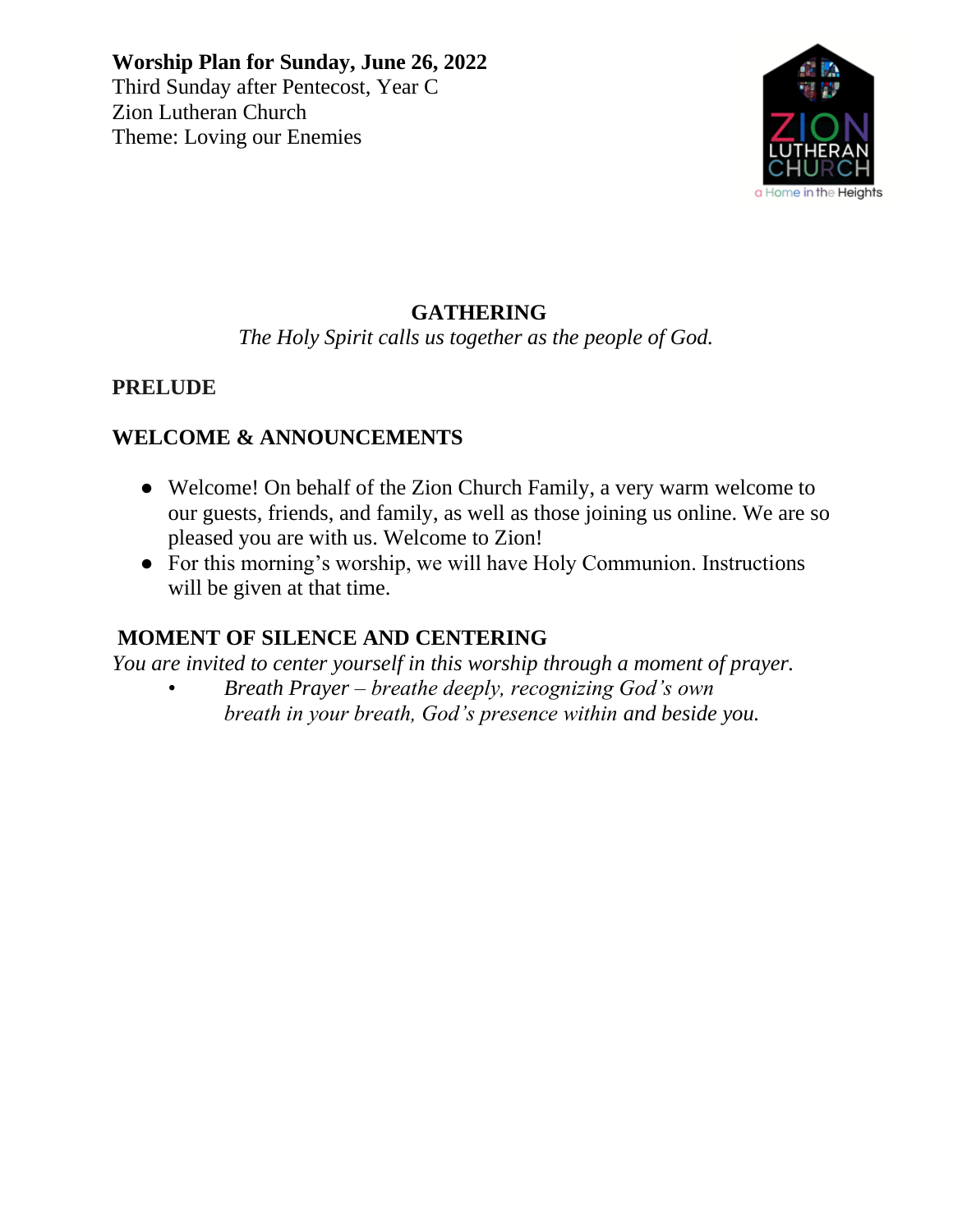

# **GATHERING**

*The Holy Spirit calls us together as the people of God.*

### **PRELUDE**

# **WELCOME & ANNOUNCEMENTS**

- Welcome! On behalf of the Zion Church Family, a very warm welcome to our guests, friends, and family, as well as those joining us online. We are so pleased you are with us. Welcome to Zion!
- For this morning's worship, we will have Holy Communion. Instructions will be given at that time.

# **MOMENT OF SILENCE AND CENTERING**

*You are invited to center yourself in this worship through a moment of prayer.*

• *Breath Prayer – breathe deeply, recognizing God's own breath in your breath, God's presence within and beside you.*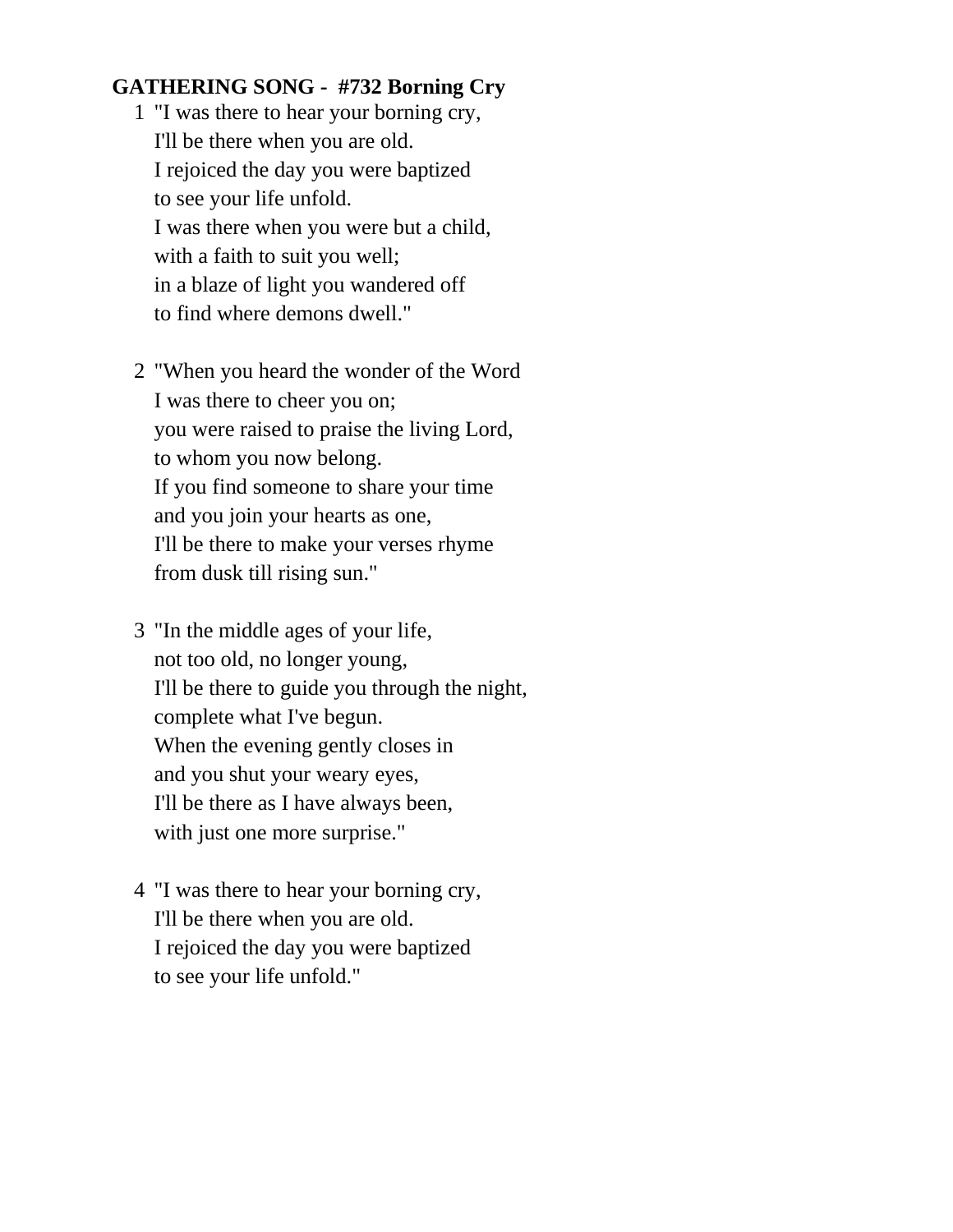#### **GATHERING SONG - #732 Borning Cry**

- 1 "I was there to hear your borning cry, I'll be there when you are old. I rejoiced the day you were baptized to see your life unfold. I was there when you were but a child, with a faith to suit you well; in a blaze of light you wandered off to find where demons dwell."
- 2 "When you heard the wonder of the Word I was there to cheer you on; you were raised to praise the living Lord, to whom you now belong. If you find someone to share your time and you join your hearts as one, I'll be there to make your verses rhyme from dusk till rising sun."
- 3 "In the middle ages of your life, not too old, no longer young, I'll be there to guide you through the night, complete what I've begun. When the evening gently closes in and you shut your weary eyes, I'll be there as I have always been, with just one more surprise."
- 4 "I was there to hear your borning cry, I'll be there when you are old. I rejoiced the day you were baptized to see your life unfold."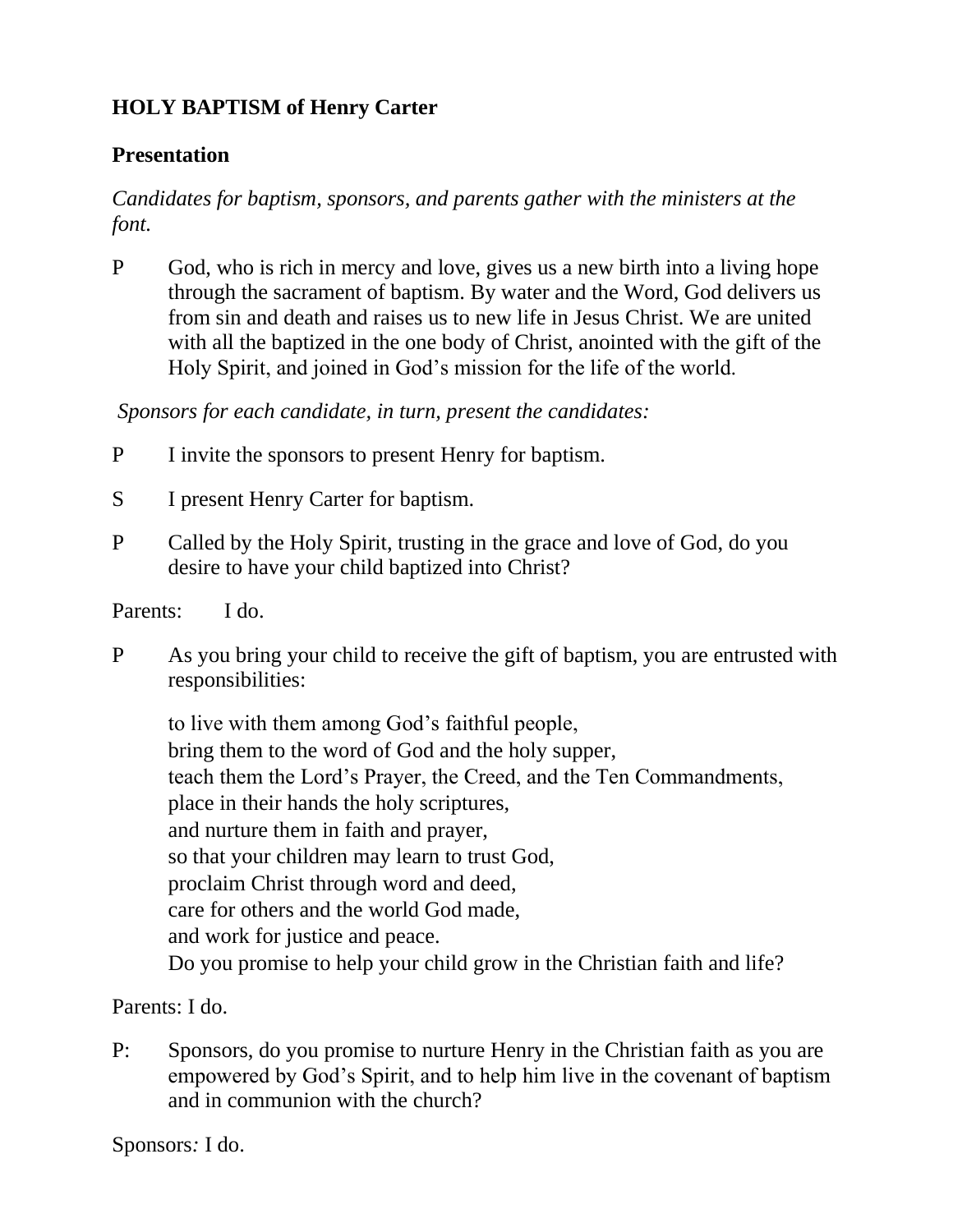# **HOLY BAPTISM of Henry Carter**

#### **Presentation**

#### *Candidates for baptism, sponsors, and parents gather with the ministers at the font.*

P God, who is rich in mercy and love, gives us a new birth into a living hope through the sacrament of baptism. By water and the Word, God delivers us from sin and death and raises us to new life in Jesus Christ. We are united with all the baptized in the one body of Christ, anointed with the gift of the Holy Spirit, and joined in God's mission for the life of the world.

*Sponsors for each candidate, in turn, present the candidates:*

- P I invite the sponsors to present Henry for baptism.
- S I present Henry Carter for baptism.
- P Called by the Holy Spirit, trusting in the grace and love of God, do you desire to have your child baptized into Christ?
- Parents:I do.
- P As you bring your child to receive the gift of baptism, you are entrusted with responsibilities:

to live with them among God's faithful people, bring them to the word of God and the holy supper, teach them the Lord's Prayer, the Creed, and the Ten Commandments, place in their hands the holy scriptures, and nurture them in faith and prayer, so that your children may learn to trust God, proclaim Christ through word and deed, care for others and the world God made, and work for justice and peace. Do you promise to help your child grow in the Christian faith and life?

Parents: I do.

P:Sponsors, do you promise to nurture Henry in the Christian faith as you are empowered by God's Spirit, and to help him live in the covenant of baptism and in communion with the church?

Sponsors*:* I do.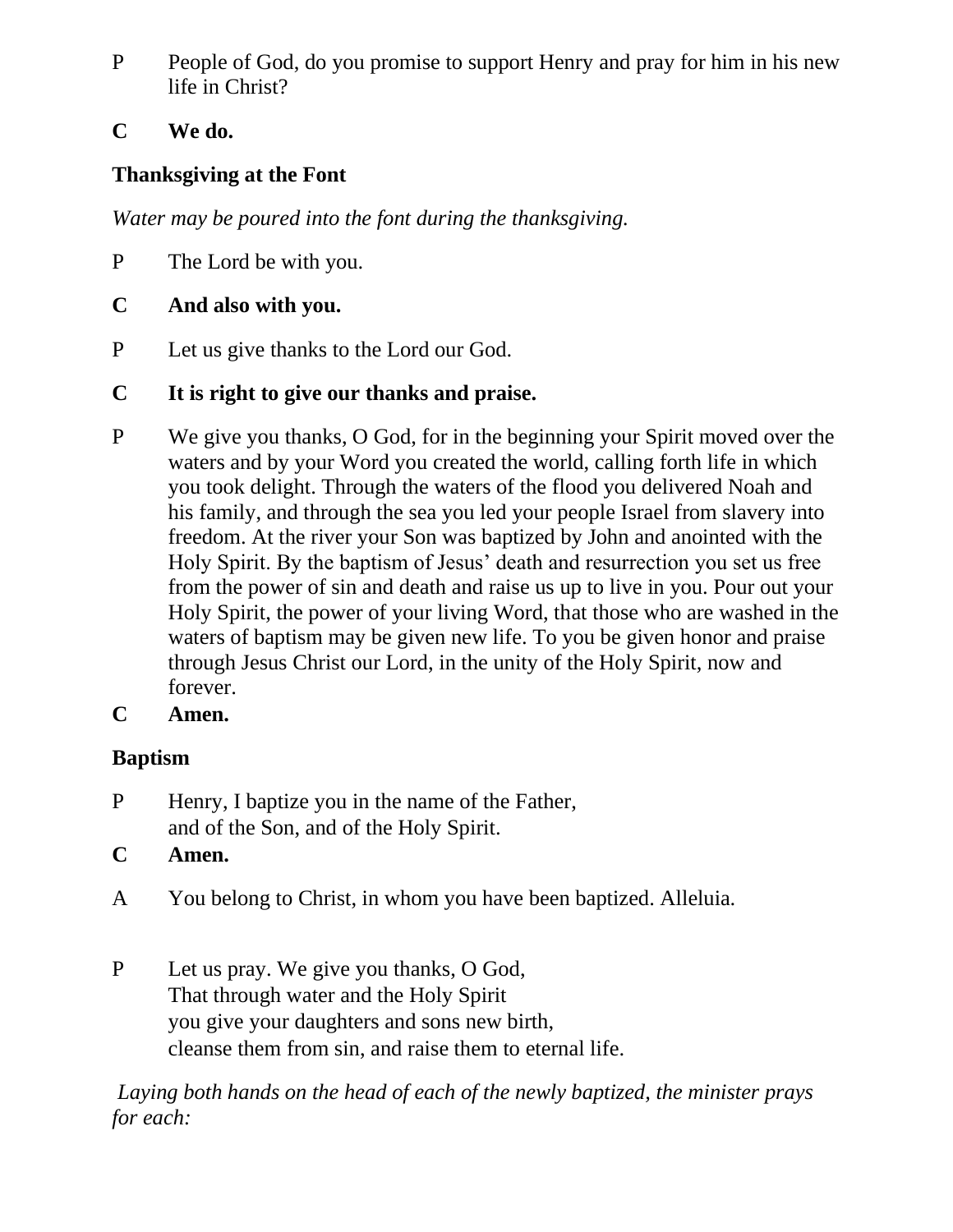- P People of God, do you promise to support Henry and pray for him in his new life in Christ?
- **C We do.**

## **Thanksgiving at the Font**

*Water may be poured into the font during the thanksgiving.*

P The Lord be with you.

### **C And also with you.**

P Let us give thanks to the Lord our God.

# **C It is right to give our thanks and praise.**

- P We give you thanks, O God, for in the beginning your Spirit moved over the waters and by your Word you created the world, calling forth life in which you took delight. Through the waters of the flood you delivered Noah and his family, and through the sea you led your people Israel from slavery into freedom. At the river your Son was baptized by John and anointed with the Holy Spirit. By the baptism of Jesus' death and resurrection you set us free from the power of sin and death and raise us up to live in you. Pour out your Holy Spirit, the power of your living Word, that those who are washed in the waters of baptism may be given new life. To you be given honor and praise through Jesus Christ our Lord, in the unity of the Holy Spirit, now and forever.
- **C Amen.**

# **Baptism**

- P Henry, I baptize you in the name of the Father, and of the Son, and of the Holy Spirit.
- **C Amen.**
- A You belong to Christ, in whom you have been baptized. Alleluia.
- P Let us pray. We give you thanks, O God, That through water and the Holy Spirit you give your daughters and sons new birth, cleanse them from sin, and raise them to eternal life.

*Laying both hands on the head of each of the newly baptized, the minister prays for each:*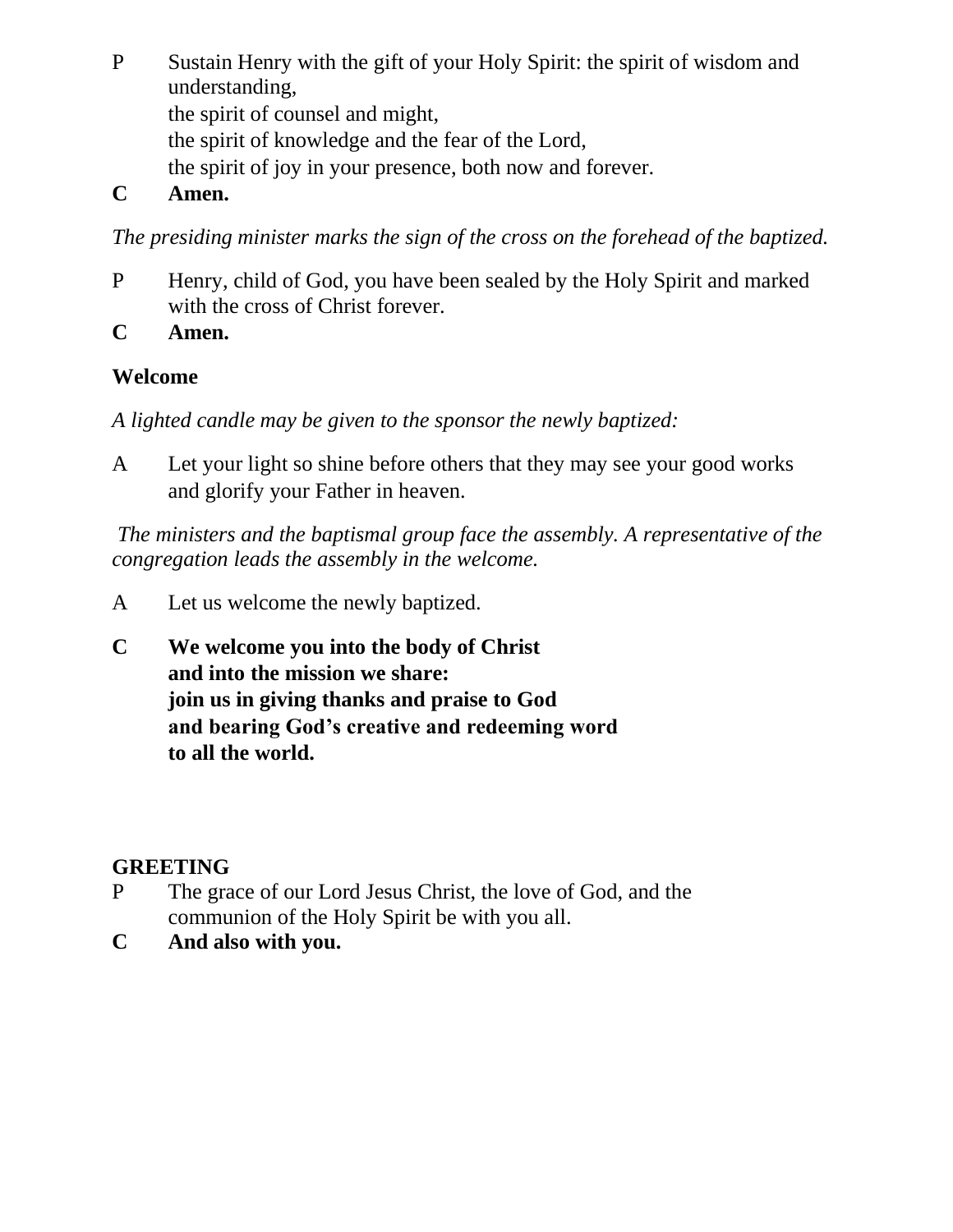P Sustain Henry with the gift of your Holy Spirit: the spirit of wisdom and understanding, the spirit of counsel and might, the spirit of knowledge and the fear of the Lord, the spirit of joy in your presence, both now and forever.

#### **C Amen.**

*The presiding minister marks the sign of the cross on the forehead of the baptized.*

- P Henry, child of God, you have been sealed by the Holy Spirit and marked with the cross of Christ forever.
- **C Amen.**

### **Welcome**

*A lighted candle may be given to the sponsor the newly baptized:*

A Let your light so shine before others that they may see your good works and glorify your Father in heaven.

*The ministers and the baptismal group face the assembly. A representative of the congregation leads the assembly in the welcome.*

- A Let us welcome the newly baptized.
- **C We welcome you into the body of Christ and into the mission we share: join us in giving thanks and praise to God and bearing God's creative and redeeming word to all the world.**

#### **GREETING**

- P The grace of our Lord Jesus Christ, the love of God, and the communion of the Holy Spirit be with you all.
- **C And also with you.**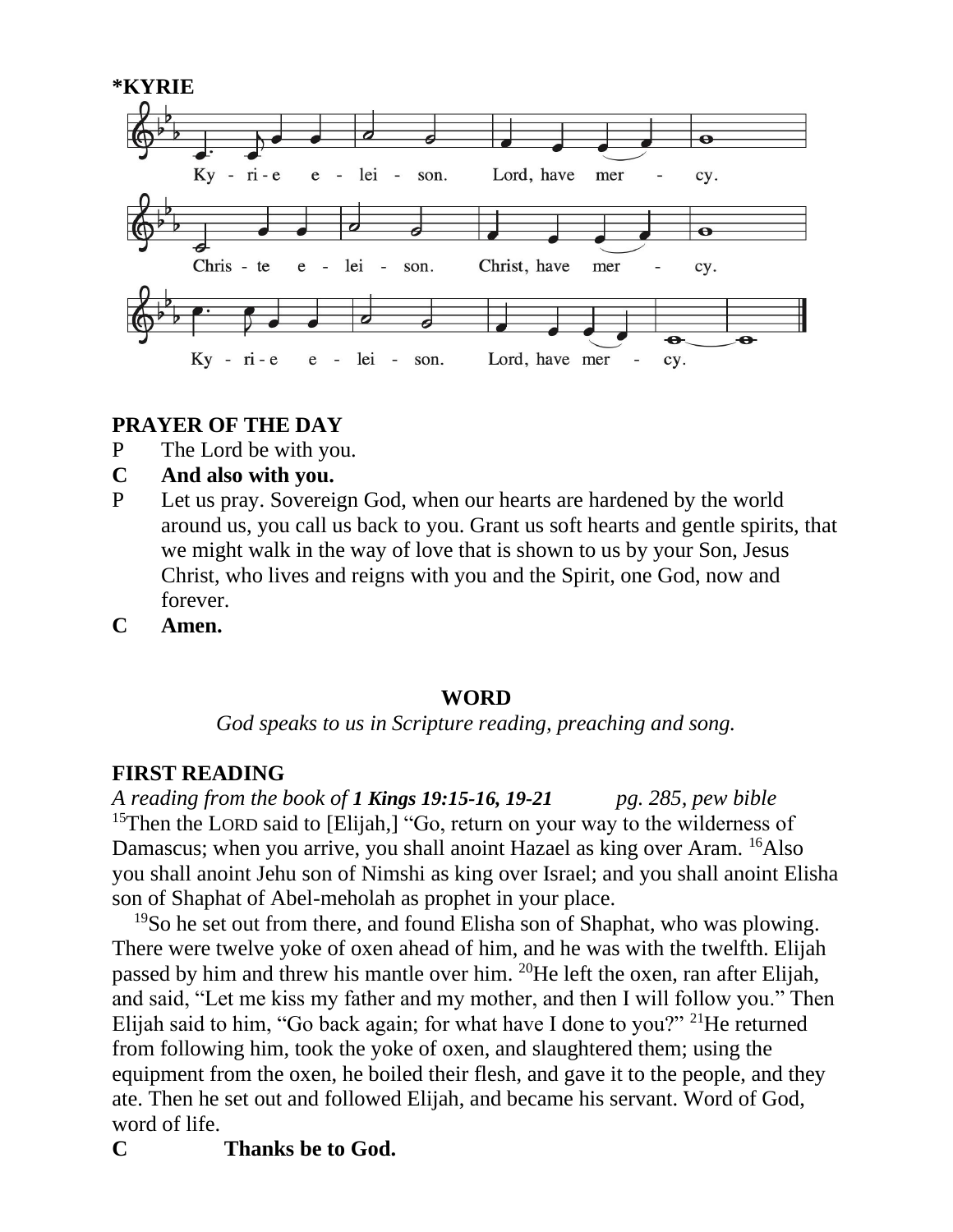

#### **PRAYER OF THE DAY**

- P The Lord be with you.
- **C And also with you.**
- P Let us pray. Sovereign God, when our hearts are hardened by the world around us, you call us back to you. Grant us soft hearts and gentle spirits, that we might walk in the way of love that is shown to us by your Son, Jesus Christ, who lives and reigns with you and the Spirit, one God, now and forever.
- **C Amen.**

#### **WORD**

*God speaks to us in Scripture reading, preaching and song.*

#### **FIRST READING**

*A reading from the book of 1 Kings 19:15-16, 19-21 pg. 285, pew bible* <sup>15</sup>Then the LORD said to [Elijah,] "Go, return on your way to the wilderness of Damascus; when you arrive, you shall anoint Hazael as king over Aram. <sup>16</sup>Also you shall anoint Jehu son of Nimshi as king over Israel; and you shall anoint Elisha son of Shaphat of Abel-meholah as prophet in your place.

<sup>19</sup>So he set out from there, and found Elisha son of Shaphat, who was plowing. There were twelve yoke of oxen ahead of him, and he was with the twelfth. Elijah passed by him and threw his mantle over him. <sup>20</sup>He left the oxen, ran after Elijah, and said, "Let me kiss my father and my mother, and then I will follow you." Then Elijah said to him, "Go back again; for what have I done to you?" <sup>21</sup>He returned from following him, took the yoke of oxen, and slaughtered them; using the equipment from the oxen, he boiled their flesh, and gave it to the people, and they ate. Then he set out and followed Elijah, and became his servant. Word of God, word of life.

# **C Thanks be to God.**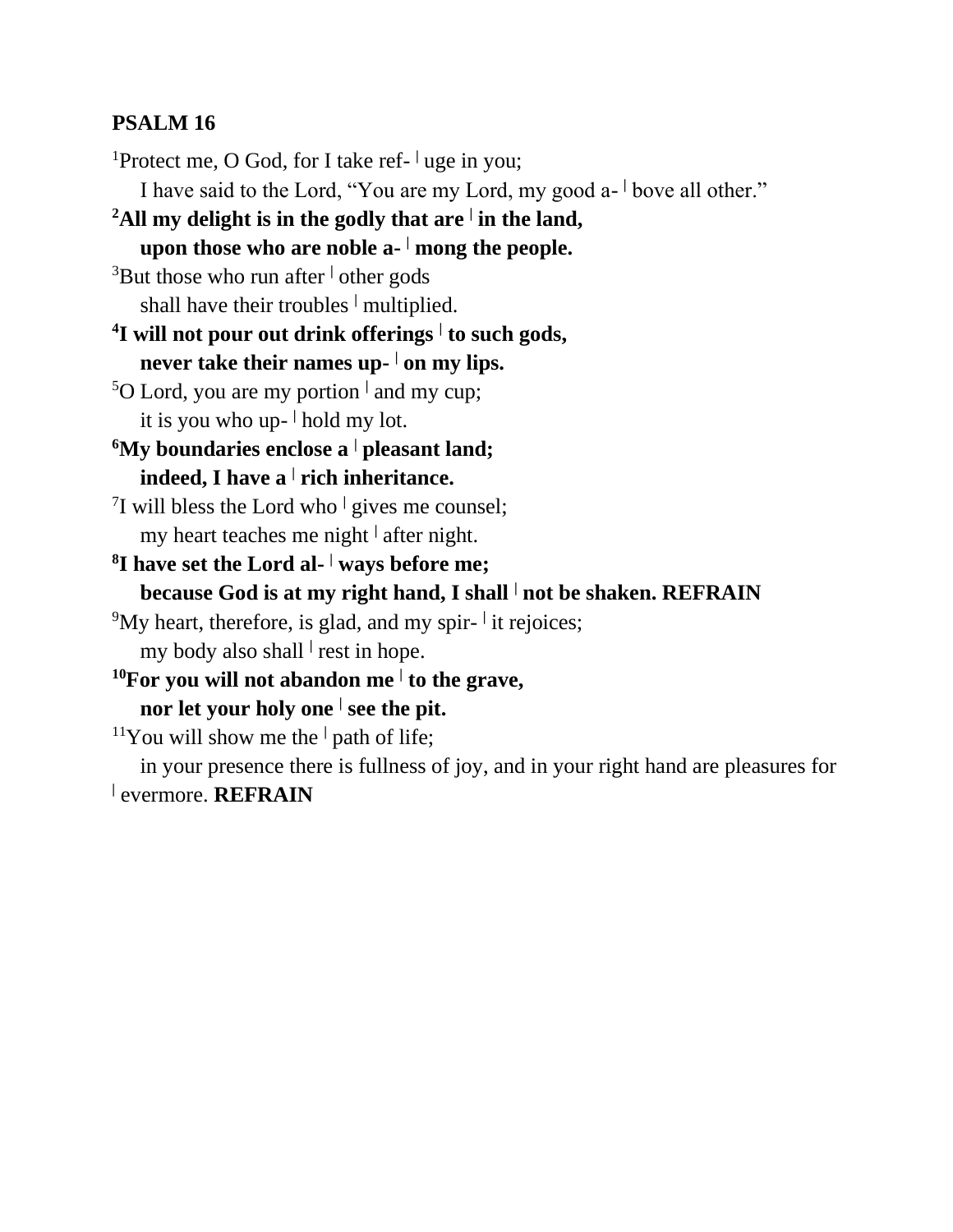#### **PSALM 16**

<sup>1</sup>Protect me, O God, for I take ref- <sup>|</sup> uge in you;

I have said to the Lord, "You are my Lord, my good a- **<sup>|</sup>** bove all other."

**<sup>2</sup>All my delight is in the godly that are <sup>|</sup> in the land,**

**upon those who are noble a- <sup>|</sup> mong the people.**

<sup>3</sup>But those who run after **<sup>|</sup>** other gods

shall have their troubles **<sup>|</sup>** multiplied.

**4 I will not pour out drink offerings <sup>|</sup> to such gods,**

**never take their names up- <sup>|</sup> on my lips.**

<sup>5</sup>O Lord, you are my portion **<sup>|</sup>** and my cup; it is you who up- **<sup>|</sup>** hold my lot.

**<sup>6</sup>My boundaries enclose a <sup>|</sup> pleasant land; indeed, I have a <sup>|</sup> rich inheritance.**

7 I will bless the Lord who **<sup>|</sup>** gives me counsel; my heart teaches me night **<sup>|</sup>** after night.

**8 I have set the Lord al- <sup>|</sup> ways before me; because God is at my right hand, I shall <sup>|</sup> not be shaken. REFRAIN**

<sup>9</sup>My heart, therefore, is glad, and my spir- it rejoices;

my body also shall **<sup>|</sup>** rest in hope.

**<sup>10</sup>For you will not abandon me <sup>|</sup> to the grave, nor let your holy one <sup>|</sup> see the pit.**

<sup>11</sup>You will show me the  $\vert$  path of life;

in your presence there is fullness of joy, and in your right hand are pleasures for **|** evermore. **REFRAIN**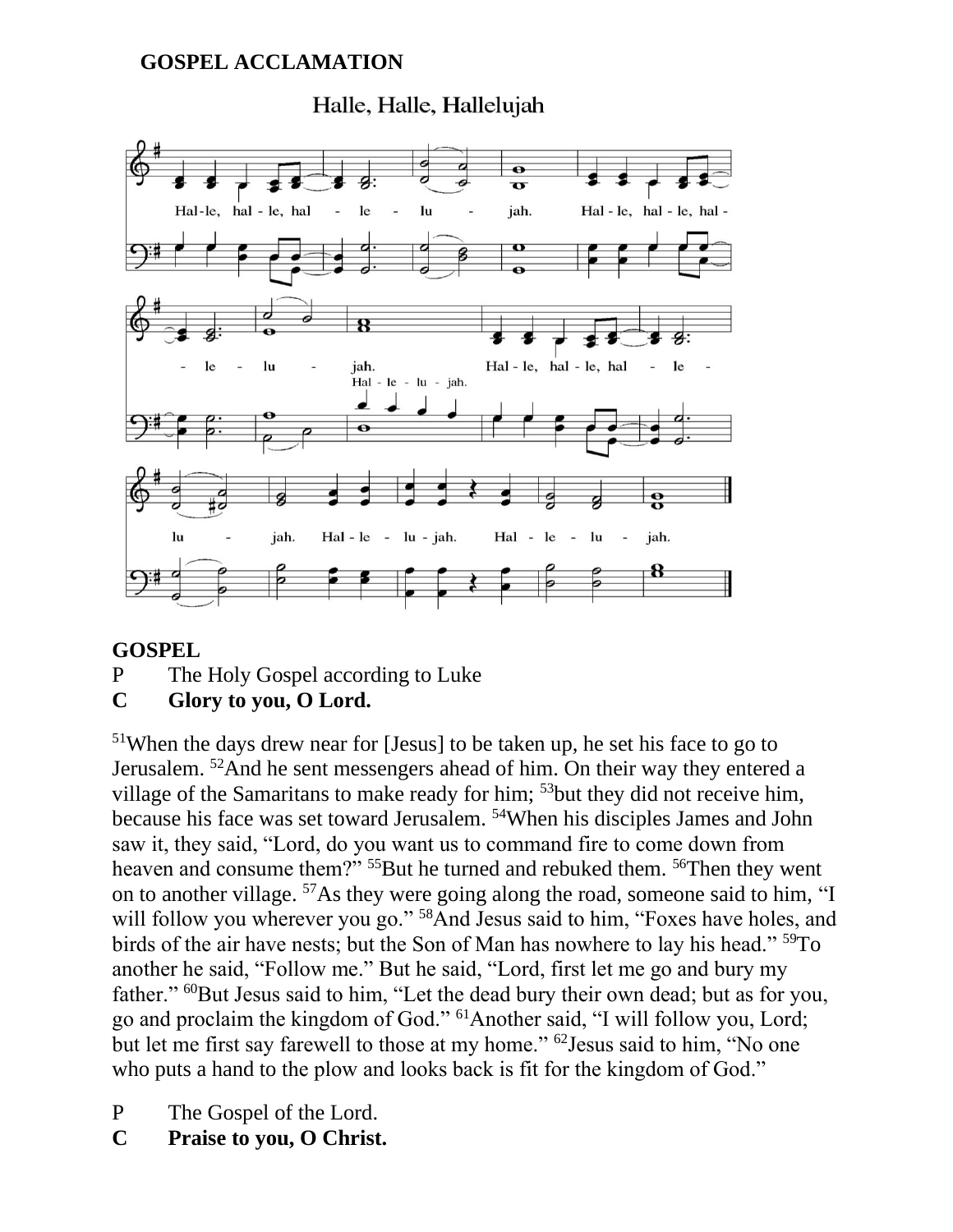#### **GOSPEL ACCLAMATION**

#### $\overline{\mathbf{e}}$  $\overline{\mathbf{u}}$ Hal-le, hal - le, hal  $1e$  $\mathbf{u}$  $\overline{a}$ jah. Hal-le, hal-le, hal-8 Hal-le, hal-le, hal le lu jah. le  $\text{Hal} - \text{le} - \text{lu} - \text{jah}.$  $\overline{\mathbf{e}}$ lu jah. Hal -  $le - lu - jah$ . Hal - le - lu jah.

# Halle, Halle, Hallelujah

#### **GOSPEL**

P The Holy Gospel according to Luke

#### **C Glory to you, O Lord.**

<sup>51</sup>When the days drew near for [Jesus] to be taken up, he set his face to go to Jerusalem. <sup>52</sup>And he sent messengers ahead of him. On their way they entered a village of the Samaritans to make ready for him; <sup>53</sup>but they did not receive him, because his face was set toward Jerusalem. <sup>54</sup>When his disciples James and John saw it, they said, "Lord, do you want us to command fire to come down from heaven and consume them?" <sup>55</sup>But he turned and rebuked them. <sup>56</sup>Then they went on to another village. <sup>57</sup>As they were going along the road, someone said to him, "I will follow you wherever you go."<sup>58</sup>And Jesus said to him, "Foxes have holes, and birds of the air have nests; but the Son of Man has nowhere to lay his head." <sup>59</sup>To another he said, "Follow me." But he said, "Lord, first let me go and bury my father." <sup>60</sup>But Jesus said to him, "Let the dead bury their own dead; but as for you, go and proclaim the kingdom of God." <sup>61</sup>Another said, "I will follow you, Lord; but let me first say farewell to those at my home." <sup>62</sup>Jesus said to him, "No one who puts a hand to the plow and looks back is fit for the kingdom of God."

- P The Gospel of the Lord.
- **C Praise to you, O Christ.**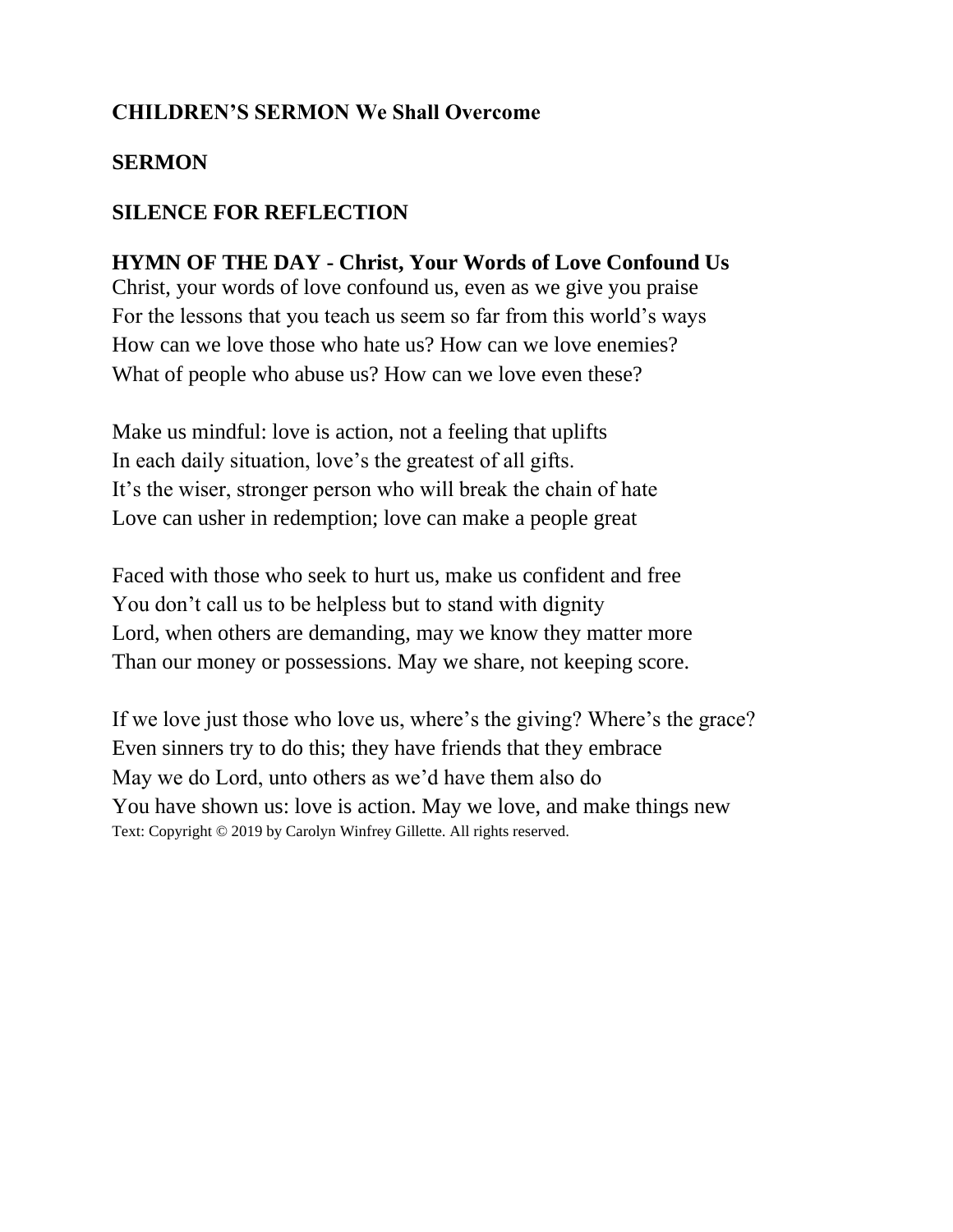#### **CHILDREN'S SERMON We Shall Overcome**

#### **SERMON**

#### **SILENCE FOR REFLECTION**

**HYMN OF THE DAY - Christ, Your Words of Love Confound Us** Christ, your words of love confound us, even as we give you praise For the lessons that you teach us seem so far from this world's ways How can we love those who hate us? How can we love enemies? What of people who abuse us? How can we love even these?

Make us mindful: love is action, not a feeling that uplifts In each daily situation, love's the greatest of all gifts. It's the wiser, stronger person who will break the chain of hate Love can usher in redemption; love can make a people great

Faced with those who seek to hurt us, make us confident and free You don't call us to be helpless but to stand with dignity Lord, when others are demanding, may we know they matter more Than our money or possessions. May we share, not keeping score.

If we love just those who love us, where's the giving? Where's the grace? Even sinners try to do this; they have friends that they embrace May we do Lord, unto others as we'd have them also do You have shown us: love is action. May we love, and make things new Text: Copyright © 2019 by Carolyn Winfrey Gillette. All rights reserved.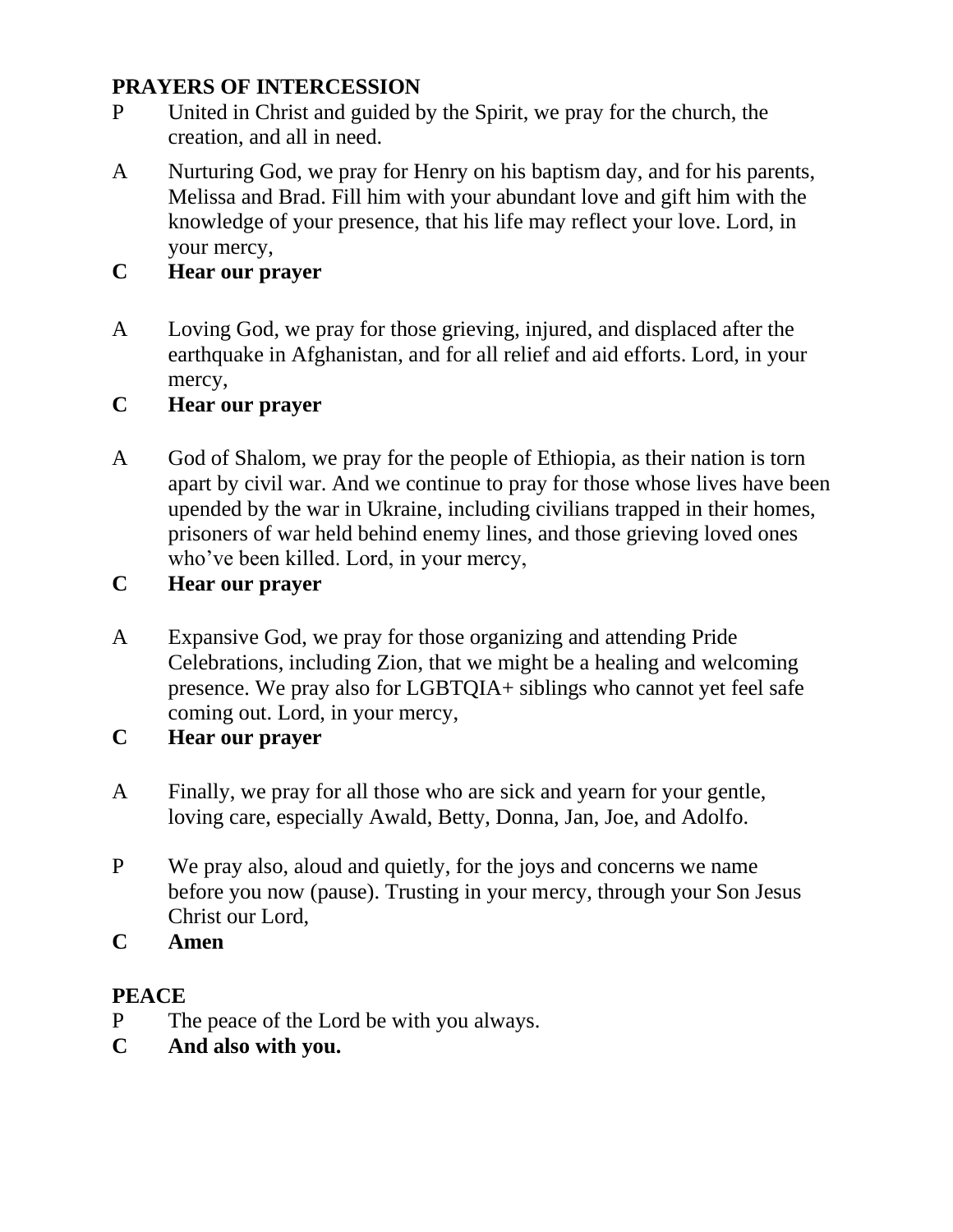#### **PRAYERS OF INTERCESSION**

- P United in Christ and guided by the Spirit, we pray for the church, the creation, and all in need.
- A Nurturing God, we pray for Henry on his baptism day, and for his parents, Melissa and Brad. Fill him with your abundant love and gift him with the knowledge of your presence, that his life may reflect your love. Lord, in your mercy,

# **C Hear our prayer**

A Loving God, we pray for those grieving, injured, and displaced after the earthquake in Afghanistan, and for all relief and aid efforts. Lord, in your mercy,

# **C Hear our prayer**

A God of Shalom, we pray for the people of Ethiopia, as their nation is torn apart by civil war. And we continue to pray for those whose lives have been upended by the war in Ukraine, including civilians trapped in their homes, prisoners of war held behind enemy lines, and those grieving loved ones who've been killed. Lord, in your mercy,

# **C Hear our prayer**

A Expansive God, we pray for those organizing and attending Pride Celebrations, including Zion, that we might be a healing and welcoming presence. We pray also for LGBTQIA+ siblings who cannot yet feel safe coming out. Lord, in your mercy,

#### **C Hear our prayer**

- A Finally, we pray for all those who are sick and yearn for your gentle, loving care, especially Awald, Betty, Donna, Jan, Joe, and Adolfo.
- P We pray also, aloud and quietly, for the joys and concerns we name before you now (pause). Trusting in your mercy, through your Son Jesus Christ our Lord,
- **C Amen**

#### **PEACE**

- P The peace of the Lord be with you always.
- **C And also with you.**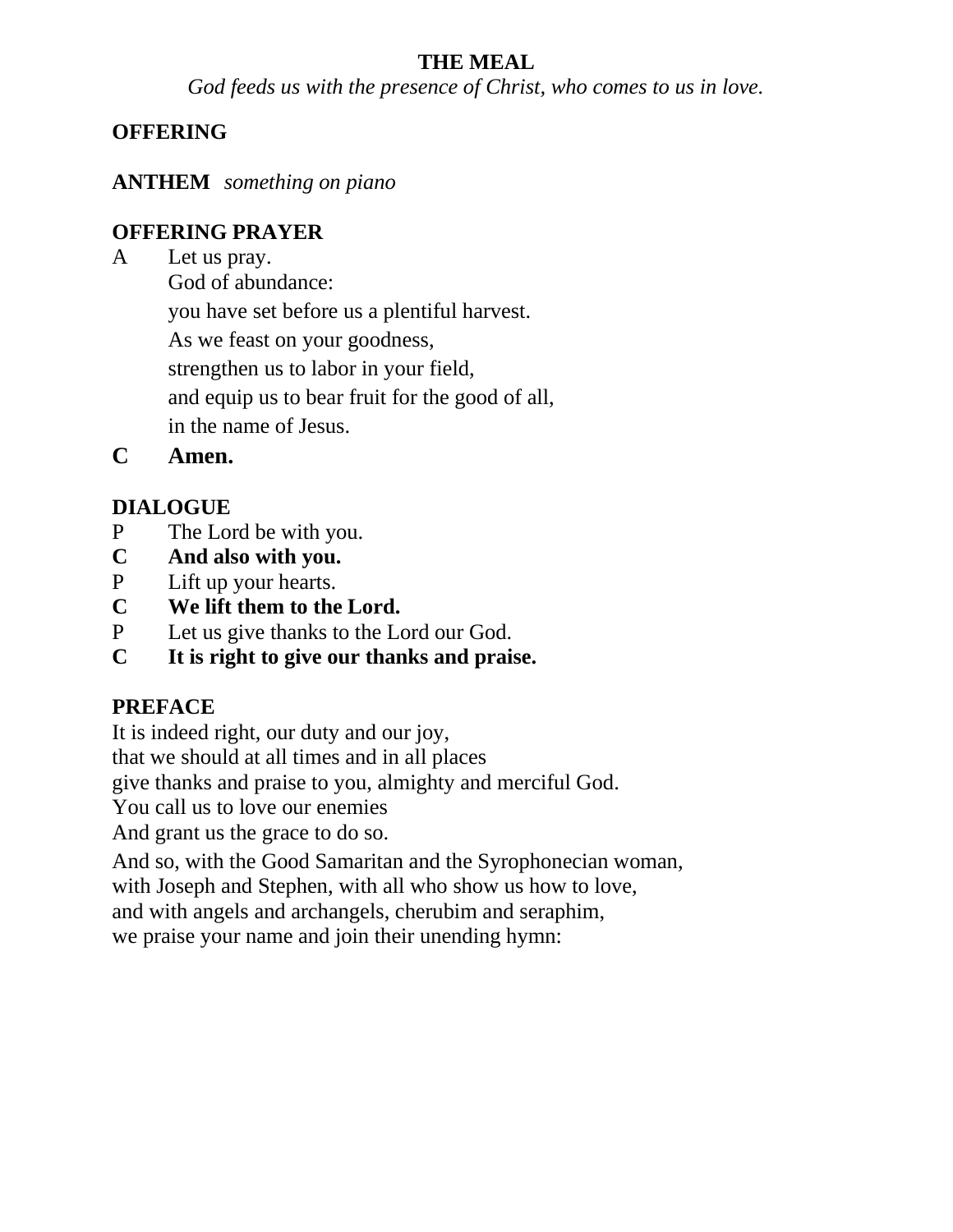# **THE MEAL**

*God feeds us with the presence of Christ, who comes to us in love.*

# **OFFERING**

**ANTHEM** *something on piano*

# **OFFERING PRAYER**

A Let us pray.

God of abundance:

you have set before us a plentiful harvest.

As we feast on your goodness,

strengthen us to labor in your field,

and equip us to bear fruit for the good of all,

in the name of Jesus.

**C Amen.**

# **DIALOGUE**

- P The Lord be with you.
- **C And also with you.**
- P Lift up your hearts.
- **C We lift them to the Lord.**
- P Let us give thanks to the Lord our God.
- **C It is right to give our thanks and praise.**

# **PREFACE**

It is indeed right, our duty and our joy,

that we should at all times and in all places

give thanks and praise to you, almighty and merciful God.

You call us to love our enemies

And grant us the grace to do so.

And so, with the Good Samaritan and the Syrophonecian woman,

with Joseph and Stephen, with all who show us how to love,

and with angels and archangels, cherubim and seraphim,

we praise your name and join their unending hymn: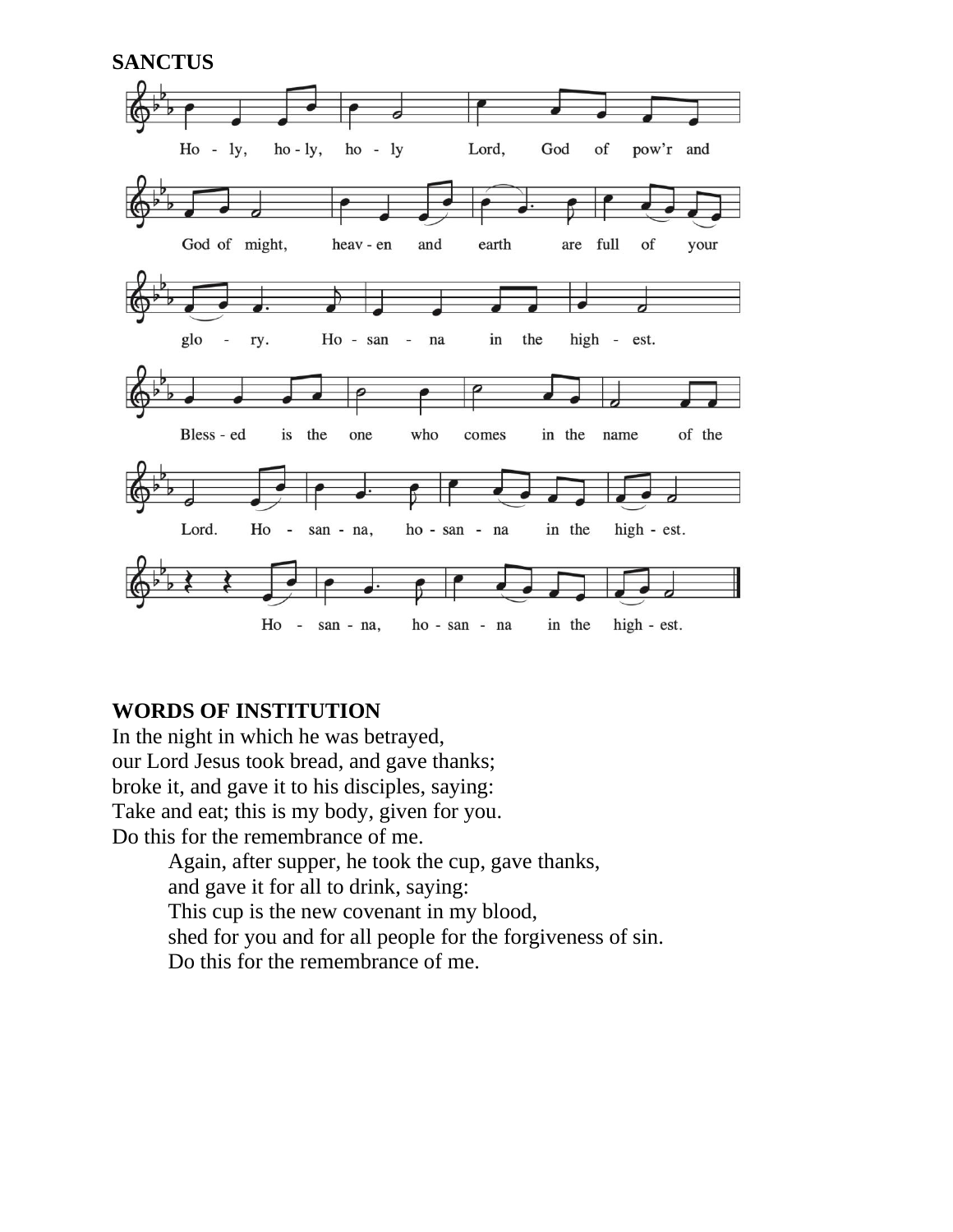

#### **WORDS OF INSTITUTION**

In the night in which he was betrayed, our Lord Jesus took bread, and gave thanks; broke it, and gave it to his disciples, saying: Take and eat; this is my body, given for you. Do this for the remembrance of me.

> Again, after supper, he took the cup, gave thanks, and gave it for all to drink, saying: This cup is the new covenant in my blood, shed for you and for all people for the forgiveness of sin. Do this for the remembrance of me.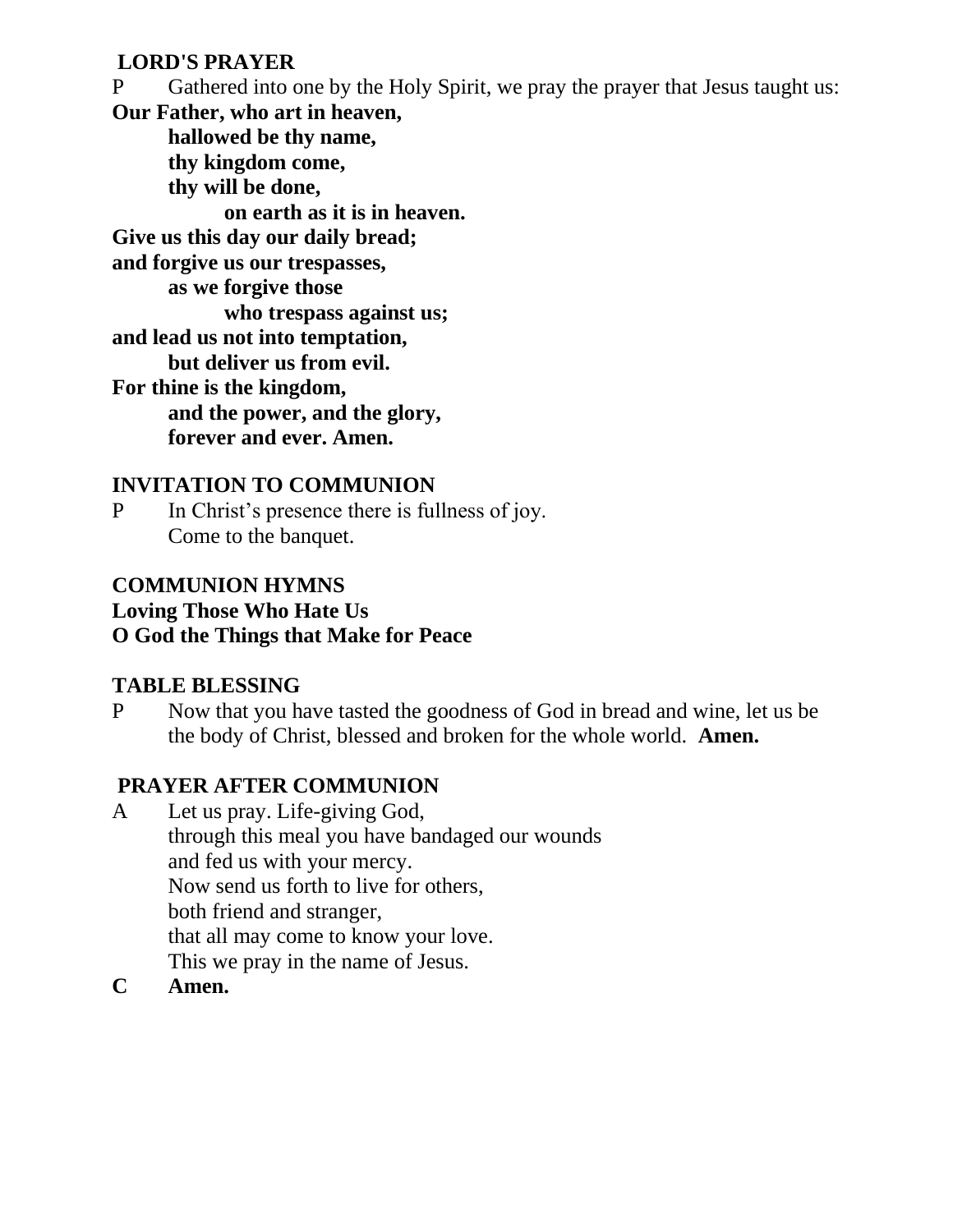#### **LORD'S PRAYER**

P Gathered into one by the Holy Spirit, we pray the prayer that Jesus taught us: **Our Father, who art in heaven, hallowed be thy name, thy kingdom come, thy will be done, on earth as it is in heaven. Give us this day our daily bread; and forgive us our trespasses, as we forgive those who trespass against us; and lead us not into temptation, but deliver us from evil. For thine is the kingdom, and the power, and the glory, forever and ever. Amen.**

# **INVITATION TO COMMUNION**

P In Christ's presence there is fullness of joy. Come to the banquet.

### **COMMUNION HYMNS**

#### **Loving Those Who Hate Us O God the Things that Make for Peace**

#### **TABLE BLESSING**

P Now that you have tasted the goodness of God in bread and wine, let us be the body of Christ, blessed and broken for the whole world. **Amen.**

# **PRAYER AFTER COMMUNION**

- A Let us pray. Life-giving God, through this meal you have bandaged our wounds and fed us with your mercy. Now send us forth to live for others, both friend and stranger, that all may come to know your love. This we pray in the name of Jesus.
- **C Amen.**